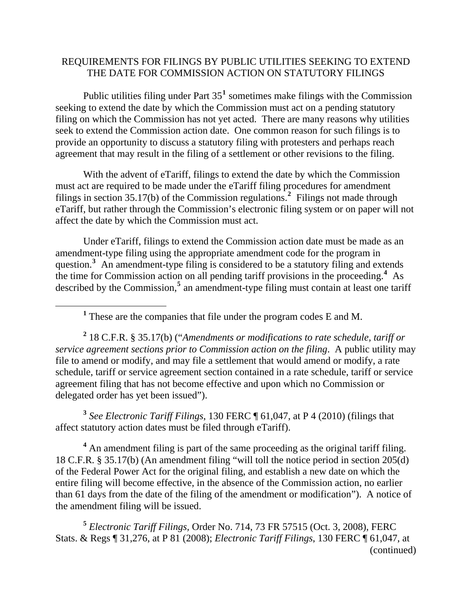## REQUIREMENTS FOR FILINGS BY PUBLIC UTILITIES SEEKING TO EXTEND THE DATE FOR COMMISSION ACTION ON STATUTORY FILINGS

Public utilities filing under Part  $35<sup>1</sup>$  $35<sup>1</sup>$  $35<sup>1</sup>$  sometimes make filings with the Commission seeking to extend the date by which the Commission must act on a pending statutory filing on which the Commission has not yet acted. There are many reasons why utilities seek to extend the Commission action date. One common reason for such filings is to provide an opportunity to discuss a statutory filing with protesters and perhaps reach agreement that may result in the filing of a settlement or other revisions to the filing.

With the advent of eTariff, filings to extend the date by which the Commission must act are required to be made under the eTariff filing procedures for amendment filings in section 35.17(b) of the Commission regulations.**[2](#page-0-1)** Filings not made through eTariff, but rather through the Commission's electronic filing system or on paper will not affect the date by which the Commission must act.

Under eTariff, filings to extend the Commission action date must be made as an amendment-type filing using the appropriate amendment code for the program in question.<sup>[3](#page-0-2)</sup> An amendment-type filing is considered to be a statutory filing and extends the time for Commission action on all pending tariff provisions in the proceeding.**[4](#page-0-3)** As described by the Commission,<sup>[5](#page-0-4)</sup> an amendment-type filing must contain at least one tariff

<span id="page-0-0"></span>

<span id="page-0-1"></span>**2** 18 C.F.R. § 35.17(b) ("*Amendments or modifications to rate schedule, tariff or service agreement sections prior to Commission action on the filing*. A public utility may file to amend or modify, and may file a settlement that would amend or modify, a rate schedule, tariff or service agreement section contained in a rate schedule, tariff or service agreement filing that has not become effective and upon which no Commission or delegated order has yet been issued").

<span id="page-0-2"></span>**<sup>3</sup>** *See Electronic Tariff Filings*, 130 FERC ¶ 61,047, at P 4 (2010) (filings that affect statutory action dates must be filed through eTariff).

<span id="page-0-3"></span><sup>4</sup> An amendment filing is part of the same proceeding as the original tariff filing. 18 C.F.R. § 35.17(b) (An amendment filing "will toll the notice period in section 205(d) of the Federal Power Act for the original filing, and establish a new date on which the entire filing will become effective, in the absence of the Commission action, no earlier than 61 days from the date of the filing of the amendment or modification"). A notice of the amendment filing will be issued.

<span id="page-0-4"></span>(continued) **<sup>5</sup>** *Electronic Tariff Filings,* Order No. 714, 73 FR 57515 (Oct. 3, 2008), FERC Stats. & Regs ¶ 31,276, at P 81 (2008); *Electronic Tariff Filings*, 130 FERC ¶ 61,047, at

<sup>&</sup>lt;sup>1</sup> These are the companies that file under the program codes E and M.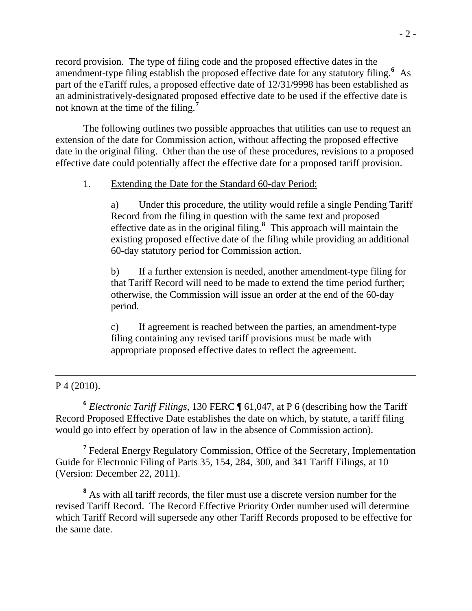record provision. The type of filing code and the proposed effective dates in the amendment-type filing establish the proposed effective date for any statutory filing.<sup>[6](#page-1-0)</sup> As part of the eTariff rules, a proposed effective date of 12/31/9998 has been established as an administratively-designated proposed effective date to be used if the effective date is not known at the time of the filing.**[7](#page-1-1)**

The following outlines two possible approaches that utilities can use to request an extension of the date for Commission action, without affecting the proposed effective date in the original filing. Other than the use of these procedures, revisions to a proposed effective date could potentially affect the effective date for a proposed tariff provision.

## 1. Extending the Date for the Standard 60-day Period:

a) Under this procedure, the utility would refile a single Pending Tariff Record from the filing in question with the same text and proposed effective date as in the original filing.**[8](#page-1-2)** This approach will maintain the existing proposed effective date of the filing while providing an additional 60-day statutory period for Commission action.

b) If a further extension is needed, another amendment-type filing for that Tariff Record will need to be made to extend the time period further; otherwise, the Commission will issue an order at the end of the 60-day period.

c) If agreement is reached between the parties, an amendment-type filing containing any revised tariff provisions must be made with appropriate proposed effective dates to reflect the agreement.

## P 4 (2010).

 $\overline{a}$ 

<span id="page-1-0"></span>**<sup>6</sup>** *Electronic Tariff Filings*, 130 FERC ¶ 61,047, at P 6 (describing how the Tariff Record Proposed Effective Date establishes the date on which, by statute, a tariff filing would go into effect by operation of law in the absence of Commission action).

<span id="page-1-1"></span><sup>7</sup> Federal Energy Regulatory Commission, Office of the Secretary, Implementation Guide for Electronic Filing of Parts 35, 154, 284, 300, and 341 Tariff Filings, at 10 (Version: December 22, 2011).

<span id="page-1-2"></span>**8** As with all tariff records, the filer must use a discrete version number for the revised Tariff Record. The Record Effective Priority Order number used will determine which Tariff Record will supersede any other Tariff Records proposed to be effective for the same date.